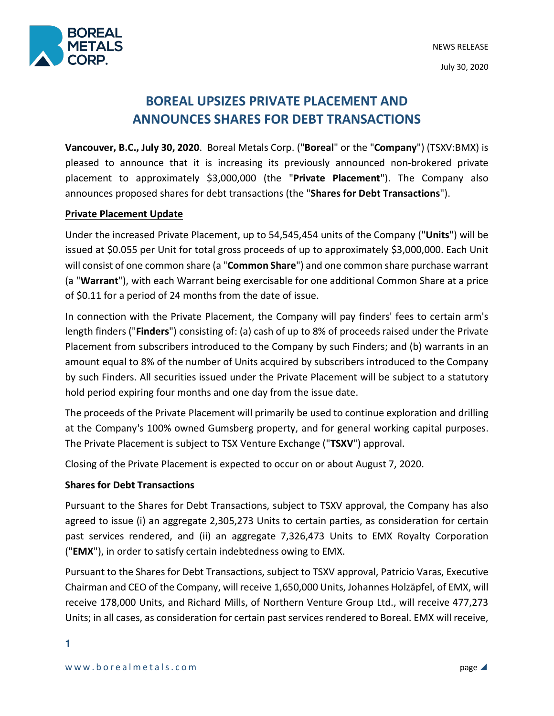

# **BOREAL UPSIZES PRIVATE PLACEMENT AND ANNOUNCES SHARES FOR DEBT TRANSACTIONS**

**Vancouver, B.C., July 30, 2020**. Boreal Metals Corp. ("**Boreal**" or the "**Company**") (TSXV:BMX) is pleased to announce that it is increasing its previously announced non-brokered private placement to approximately \$3,000,000 (the "**Private Placement**"). The Company also announces proposed shares for debt transactions (the "**Shares for Debt Transactions**").

## **Private Placement Update**

Under the increased Private Placement, up to 54,545,454 units of the Company ("**Units**") will be issued at \$0.055 per Unit for total gross proceeds of up to approximately \$3,000,000. Each Unit will consist of one common share (a "**Common Share**") and one common share purchase warrant (a "**Warrant**"), with each Warrant being exercisable for one additional Common Share at a price of \$0.11 for a period of 24 months from the date of issue.

In connection with the Private Placement, the Company will pay finders' fees to certain arm's length finders ("**Finders**") consisting of: (a) cash of up to 8% of proceeds raised under the Private Placement from subscribers introduced to the Company by such Finders; and (b) warrants in an amount equal to 8% of the number of Units acquired by subscribers introduced to the Company by such Finders. All securities issued under the Private Placement will be subject to a statutory hold period expiring four months and one day from the issue date.

The proceeds of the Private Placement will primarily be used to continue exploration and drilling at the Company's 100% owned Gumsberg property, and for general working capital purposes. The Private Placement is subject to TSX Venture Exchange ("**TSXV**") approval.

Closing of the Private Placement is expected to occur on or about August 7, 2020.

## **Shares for Debt Transactions**

Pursuant to the Shares for Debt Transactions, subject to TSXV approval, the Company has also agreed to issue (i) an aggregate 2,305,273 Units to certain parties, as consideration for certain past services rendered, and (ii) an aggregate 7,326,473 Units to EMX Royalty Corporation ("**EMX**"), in order to satisfy certain indebtedness owing to EMX.

Pursuant to the Shares for Debt Transactions, subject to TSXV approval, Patricio Varas, Executive Chairman and CEO of the Company, willreceive 1,650,000 Units, Johannes Holzäpfel, of EMX, will receive 178,000 Units, and Richard Mills, of Northern Venture Group Ltd., will receive 477,273 Units; in all cases, as consideration for certain past services rendered to Boreal. EMX will receive,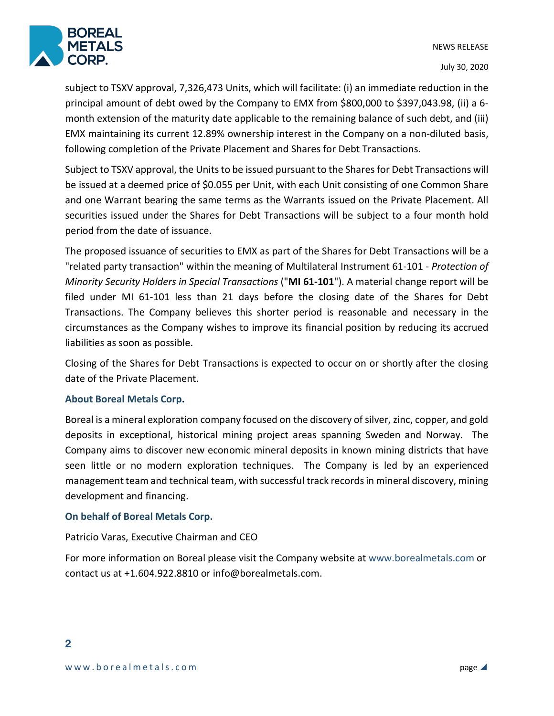

July 30, 2020

subject to TSXV approval, 7,326,473 Units, which will facilitate: (i) an immediate reduction in the principal amount of debt owed by the Company to EMX from \$800,000 to \$397,043.98, (ii) a 6 month extension of the maturity date applicable to the remaining balance of such debt, and (iii) EMX maintaining its current 12.89% ownership interest in the Company on a non-diluted basis, following completion of the Private Placement and Shares for Debt Transactions.

Subject to TSXV approval, the Units to be issued pursuant to the Shares for Debt Transactions will be issued at a deemed price of \$0.055 per Unit, with each Unit consisting of one Common Share and one Warrant bearing the same terms as the Warrants issued on the Private Placement. All securities issued under the Shares for Debt Transactions will be subject to a four month hold period from the date of issuance.

The proposed issuance of securities to EMX as part of the Shares for Debt Transactions will be a "related party transaction" within the meaning of Multilateral Instrument 61-101 - *Protection of Minority Security Holders in Special Transactions* ("**MI 61-101**"). A material change report will be filed under MI 61-101 less than 21 days before the closing date of the Shares for Debt Transactions. The Company believes this shorter period is reasonable and necessary in the circumstances as the Company wishes to improve its financial position by reducing its accrued liabilities as soon as possible.

Closing of the Shares for Debt Transactions is expected to occur on or shortly after the closing date of the Private Placement.

## **About Boreal Metals Corp.**

Boreal is a mineral exploration company focused on the discovery of silver, zinc, copper, and gold deposits in exceptional, historical mining project areas spanning Sweden and Norway. The Company aims to discover new economic mineral deposits in known mining districts that have seen little or no modern exploration techniques. The Company is led by an experienced management team and technical team, with successful track records in mineral discovery, mining development and financing.

## **On behalf of Boreal Metals Corp.**

## Patricio Varas, Executive Chairman and CEO

For more information on Boreal please visit the Company website at www.borealmetals.com or contact us at +1.604.922.8810 or info@borealmetals.com.